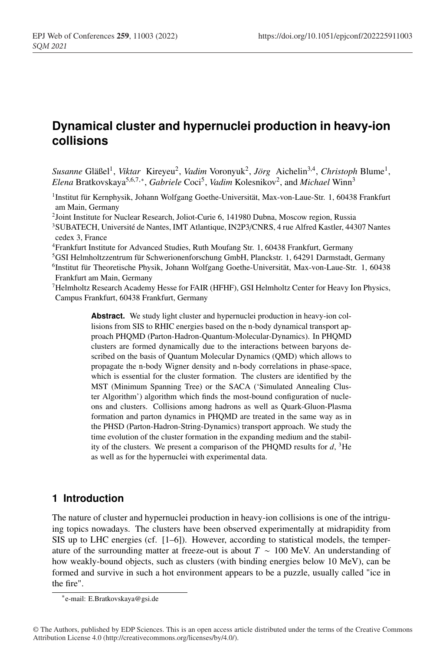# **Dynamical cluster and hypernuclei production in heavy-ion collisions**

*Susanne* Gläßel1, *Viktar* Kireyeu2, *Vadim* Voronyuk2, *Jörg* Aichelin3,4, *Christoph* Blume1, *Elena* Bratkovskaya<sup>5</sup>,6,7,∗, *Gabriele* Coci5, *Vadim* Kolesnikov2, and *Michael* Winn<sup>3</sup>

- 1Institut für Kernphysik, Johann Wolfgang Goethe-Universität, Max-von-Laue-Str. 1, 60438 Frankfurt am Main, Germany
- <sup>2</sup>Joint Institute for Nuclear Research, Joliot-Curie 6, 141980 Dubna, Moscow region, Russia
- 3SUBATECH, Université de Nantes, IMT Atlantique, IN2P3/CNRS, 4 rue Alfred Kastler, 44307 Nantes cedex 3, France
- 4Frankfurt Institute for Advanced Studies, Ruth Moufang Str. 1, 60438 Frankfurt, Germany
- 5GSI Helmholtzzentrum für Schwerionenforschung GmbH, Planckstr. 1, 64291 Darmstadt, Germany
- 6Institut für Theoretische Physik, Johann Wolfgang Goethe-Universität, Max-von-Laue-Str. 1, 60438 Frankfurt am Main, Germany
- $<sup>7</sup>$ Helmholtz Research Academy Hesse for FAIR (HFHF), GSI Helmholtz Center for Heavy Ion Physics,</sup> Campus Frankfurt, 60438 Frankfurt, Germany

Abstract. We study light cluster and hypernuclei production in heavy-ion collisions from SIS to RHIC energies based on the n-body dynamical transport approach PHQMD (Parton-Hadron-Quantum-Molecular-Dynamics). In PHQMD clusters are formed dynamically due to the interactions between baryons described on the basis of Quantum Molecular Dynamics (QMD) which allows to propagate the n-body Wigner density and n-body correlations in phase-space, which is essential for the cluster formation. The clusters are identified by the MST (Minimum Spanning Tree) or the SACA ('Simulated Annealing Cluster Algorithm') algorithm which finds the most-bound configuration of nucleons and clusters. Collisions among hadrons as well as Quark-Gluon-Plasma formation and parton dynamics in PHQMD are treated in the same way as in the PHSD (Parton-Hadron-String-Dynamics) transport approach. We study the time evolution of the cluster formation in the expanding medium and the stability of the clusters. We present a comparison of the PHQMD results for  $d$ , <sup>3</sup>He as well as for the hypernuclei with experimental data.

## **1 Introduction**

The nature of cluster and hypernuclei production in heavy-ion collisions is one of the intriguing topics nowadays. The clusters have been observed experimentally at midrapidity from SIS up to LHC energies (cf. [1–6]). However, according to statistical models, the temperature of the surrounding matter at freeze-out is about  $T \sim 100$  MeV. An understanding of how weakly-bound objects, such as clusters (with binding energies below 10 MeV), can be formed and survive in such a hot environment appears to be a puzzle, usually called "ice in the fire".

<sup>∗</sup>e-mail: E.Bratkovskaya@gsi.de

<sup>©</sup> The Authors, published by EDP Sciences. This is an open access article distributed under the terms of the Creative Commons Attribution License 4.0 (http://creativecommons.org/licenses/by/4.0/).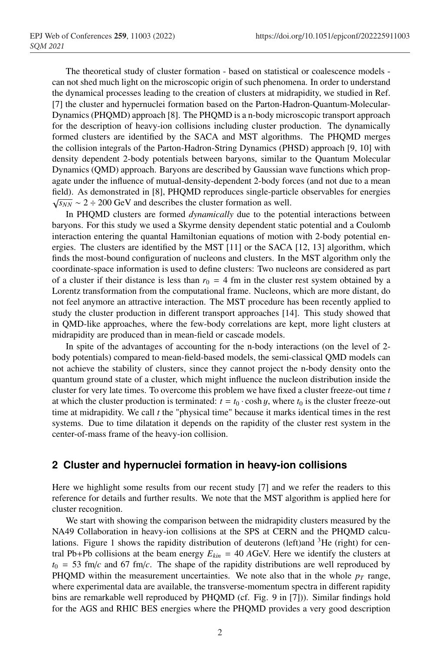The theoretical study of cluster formation - based on statistical or coalescence models can not shed much light on the microscopic origin of such phenomena. In order to understand the dynamical processes leading to the creation of clusters at midrapidity, we studied in Ref. [7] the cluster and hypernuclei formation based on the Parton-Hadron-Quantum-Molecular-Dynamics (PHQMD) approach [8]. The PHQMD is a n-body microscopic transport approach for the description of heavy-ion collisions including cluster production. The dynamically formed clusters are identified by the SACA and MST algorithms. The PHQMD merges the collision integrals of the Parton-Hadron-String Dynamics (PHSD) approach [9, 10] with density dependent 2-body potentials between baryons, similar to the Quantum Molecular Dynamics (QMD) approach. Baryons are described by Gaussian wave functions which propagate under the influence of mutual-density-dependent 2-body forces (and not due to a mean field). As demonstrated in [8], PHQMD reproduces single-particle observables for energies  $\sqrt{s_{NN}} \sim 2 \div 200$  GeV and describes the cluster formation as well.

In PHQMD clusters are formed *dynamically* due to the potential interactions between baryons. For this study we used a Skyrme density dependent static potential and a Coulomb interaction entering the quantal Hamiltonian equations of motion with 2-body potential energies. The clusters are identified by the MST [11] or the SACA [12, 13] algorithm, which finds the most-bound configuration of nucleons and clusters. In the MST algorithm only the coordinate-space information is used to define clusters: Two nucleons are considered as part of a cluster if their distance is less than  $r_0 = 4$  fm in the cluster rest system obtained by a Lorentz transformation from the computational frame. Nucleons, which are more distant, do not feel anymore an attractive interaction. The MST procedure has been recently applied to study the cluster production in different transport approaches [14]. This study showed that in QMD-like approaches, where the few-body correlations are kept, more light clusters at midrapidity are produced than in mean-field or cascade models.

In spite of the advantages of accounting for the n-body interactions (on the level of 2 body potentials) compared to mean-field-based models, the semi-classical QMD models can not achieve the stability of clusters, since they cannot project the n-body density onto the quantum ground state of a cluster, which might influence the nucleon distribution inside the cluster for very late times. To overcome this problem we have fixed a cluster freeze-out time *t* at which the cluster production is terminated:  $t = t_0 \cdot \cosh y$ , where  $t_0$  is the cluster freeze-out time at midrapidity. We call *t* the "physical time" because it marks identical times in the rest systems. Due to time dilatation it depends on the rapidity of the cluster rest system in the center-of-mass frame of the heavy-ion collision.

### **2 Cluster and hypernuclei formation in heavy-ion collisions**

Here we highlight some results from our recent study [7] and we refer the readers to this reference for details and further results. We note that the MST algorithm is applied here for cluster recognition.

We start with showing the comparison between the midrapidity clusters measured by the NA49 Collaboration in heavy-ion collisions at the SPS at CERN and the PHQMD calculations. Figure 1 shows the rapidity distribution of deuterons (left)and  ${}^{3}$ He (right) for central Pb+Pb collisions at the beam energy  $E_{kin} = 40$  AGeV. Here we identify the clusters at  $t_0$  = 53 fm/*c* and 67 fm/*c*. The shape of the rapidity distributions are well reproduced by PHQMD within the measurement uncertainties. We note also that in the whole  $p_T$  range, where experimental data are available, the transverse-momentum spectra in different rapidity bins are remarkable well reproduced by PHQMD (cf. Fig. 9 in [7])). Similar findings hold for the AGS and RHIC BES energies where the PHQMD provides a very good description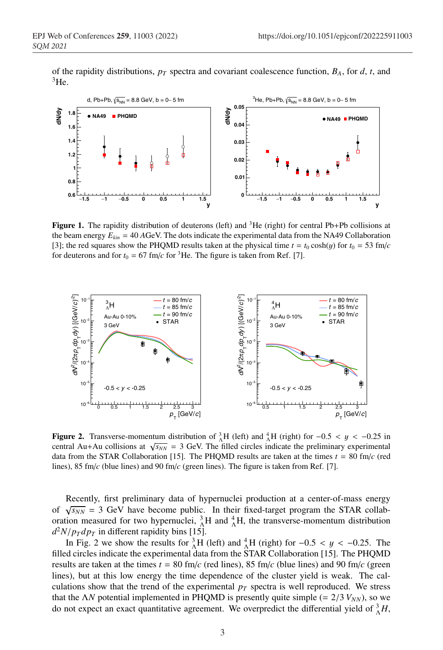of the rapidity distributions,  $p_T$  spectra and covariant coalescence function,  $B_A$ , for  $d$ ,  $t$ , and  ${}^{3}$ He.



**Figure 1.** The rapidity distribution of deuterons (left) and <sup>3</sup>He (right) for central Pb+Pb collisions at the beam energy  $E_{kin} = 40$  *AGeV*. The dots indicate the experimental data from the NA49 Collaboration [3]; the red squares show the PHQMD results taken at the physical time  $t = t_0 \cosh(y)$  for  $t_0 = 53$  fm/*c* for deuterons and for  $t_0 = 67$  fm/ $c$  for <sup>3</sup>He. The figure is taken from Ref. [7].



**Figure 2.** Transverse-momentum distribution of  ${}_{\Lambda}^{3}H$  (left) and  ${}_{\Lambda}^{4}H$  (right) for  $-0.5 < y < -0.25$  in central Au+Au collisions at  $\sqrt{s_{NN}}$  = 3 GeV. The filled circles indicate the preliminary experimental data from the STAR Collaboration [15]. The PHQMD results are taken at the times  $t = 80$  fm/*c* (red lines), 85 fm/*c* (blue lines) and 90 fm/*c* (green lines). The figure is taken from Ref. [7].

Recently, first preliminary data of hypernuclei production at a center-of-mass energy of  $\sqrt{s_{NN}}$  = 3 GeV have become public. In their fixed-target program the STAR collaboration measured for two hypernuclei,  ${}_{\Lambda}^{3}H$  and  ${}_{\Lambda}^{4}H$ , the transverse-momentum distribution  $d^2N/p_T dp_T$  in different rapidity bins [15].

In Fig. 2 we show the results for  ${}_{\Lambda}^{3}H$  (left) and  ${}_{\Lambda}^{4}H$  (right) for  $-0.5 < y < -0.25$ . The filled circles indicate the experimental data from the STAR Collaboration [15]. The PHQMD results are taken at the times  $t = 80$  fm/*c* (red lines), 85 fm/*c* (blue lines) and 90 fm/*c* (green lines), but at this low energy the time dependence of the cluster yield is weak. The calculations show that the trend of the experimental  $p<sub>T</sub>$  spectra is well reproduced. We stress that the  $\Delta N$  potential implemented in PHQMD is presently quite simple (=  $2/3$   $V_{NN}$ ), so we do not expect an exact quantitative agreement. We overpredict the differential yield of  $^3_\Lambda H$ ,